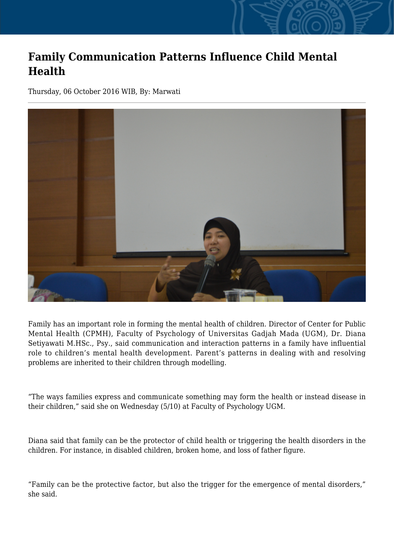## **Family Communication Patterns Influence Child Mental Health**

Thursday, 06 October 2016 WIB, By: Marwati



Family has an important role in forming the mental health of children. Director of Center for Public Mental Health (CPMH), Faculty of Psychology of Universitas Gadjah Mada (UGM), Dr. Diana Setiyawati M.HSc., Psy., said communication and interaction patterns in a family have influential role to children's mental health development. Parent's patterns in dealing with and resolving problems are inherited to their children through modelling.

"The ways families express and communicate something may form the health or instead disease in their children," said she on Wednesday (5/10) at Faculty of Psychology UGM.

Diana said that family can be the protector of child health or triggering the health disorders in the children. For instance, in disabled children, broken home, and loss of father figure.

"Family can be the protective factor, but also the trigger for the emergence of mental disorders," she said.